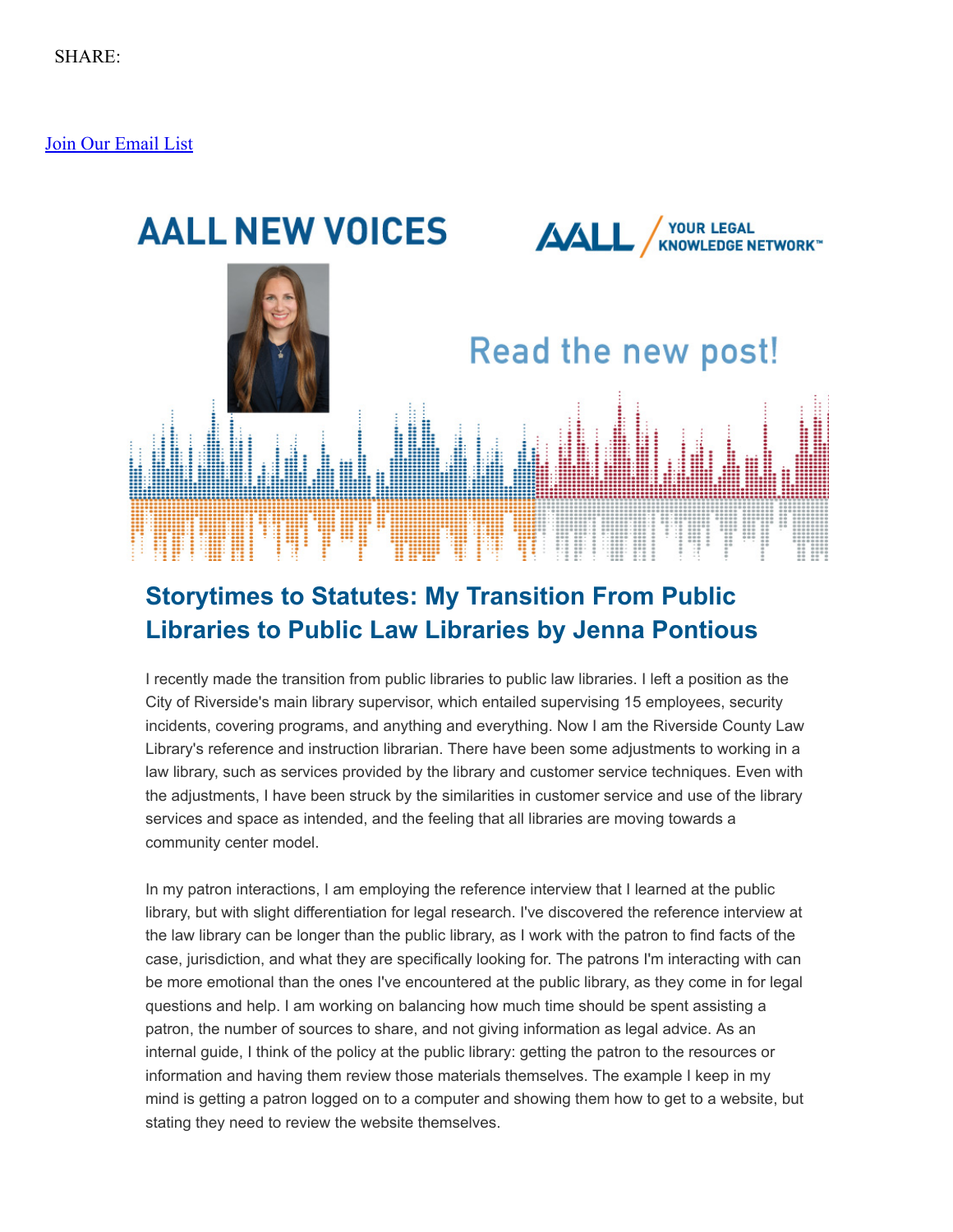[Join Our Email List](https://visitor.constantcontact.com/d.jsp?m=1103444292258&p=oi)



## **Storytimes to Statutes: My Transition From Public Libraries to Public Law Libraries by Jenna Pontious**

I recently made the transition from public libraries to public law libraries. I left a position as the City of Riverside's main library supervisor, which entailed supervising 15 employees, security incidents, covering programs, and anything and everything. Now I am the Riverside County Law Library's reference and instruction librarian. There have been some adjustments to working in a law library, such as services provided by the library and customer service techniques. Even with the adjustments, I have been struck by the similarities in customer service and use of the library services and space as intended, and the feeling that all libraries are moving towards a community center model.

In my patron interactions, I am employing the reference interview that I learned at the public library, but with slight differentiation for legal research. I've discovered the reference interview at the law library can be longer than the public library, as I work with the patron to find facts of the case, jurisdiction, and what they are specifically looking for. The patrons I'm interacting with can be more emotional than the ones I've encountered at the public library, as they come in for legal questions and help. I am working on balancing how much time should be spent assisting a patron, the number of sources to share, and not giving information as legal advice. As an internal guide, I think of the policy at the public library: getting the patron to the resources or information and having them review those materials themselves. The example I keep in my mind is getting a patron logged on to a computer and showing them how to get to a website, but stating they need to review the website themselves.